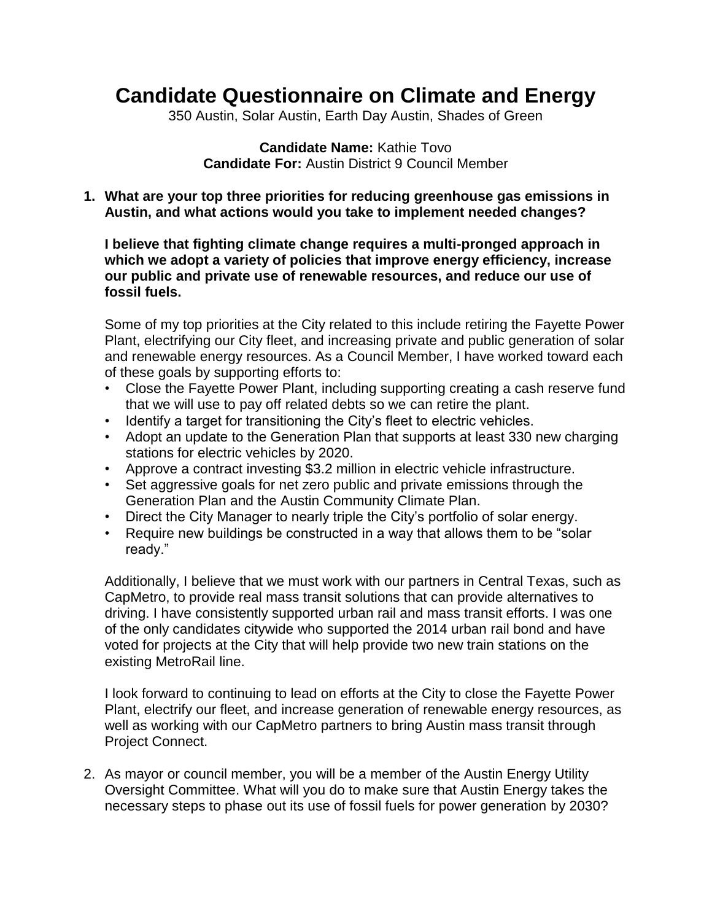# **Candidate Questionnaire on Climate and Energy**

350 Austin, Solar Austin, Earth Day Austin, Shades of Green

#### **Candidate Name:** Kathie Tovo **Candidate For:** Austin District 9 Council Member

**1. What are your top three priorities for reducing greenhouse gas emissions in Austin, and what actions would you take to implement needed changes?**

**I believe that fighting climate change requires a multi-pronged approach in which we adopt a variety of policies that improve energy efficiency, increase our public and private use of renewable resources, and reduce our use of fossil fuels.**

Some of my top priorities at the City related to this include retiring the Fayette Power Plant, electrifying our City fleet, and increasing private and public generation of solar and renewable energy resources. As a Council Member, I have worked toward each of these goals by supporting efforts to:

- Close the Fayette Power Plant, including supporting creating a cash reserve fund that we will use to pay off related debts so we can retire the plant.
- Identify a target for transitioning the City's fleet to electric vehicles.
- Adopt an update to the Generation Plan that supports at least 330 new charging stations for electric vehicles by 2020.
- Approve a contract investing \$3.2 million in electric vehicle infrastructure.
- Set aggressive goals for net zero public and private emissions through the Generation Plan and the Austin Community Climate Plan.
- Direct the City Manager to nearly triple the City's portfolio of solar energy.
- Require new buildings be constructed in a way that allows them to be "solar" ready."

Additionally, I believe that we must work with our partners in Central Texas, such as CapMetro, to provide real mass transit solutions that can provide alternatives to driving. I have consistently supported urban rail and mass transit efforts. I was one of the only candidates citywide who supported the 2014 urban rail bond and have voted for projects at the City that will help provide two new train stations on the existing MetroRail line.

I look forward to continuing to lead on efforts at the City to close the Fayette Power Plant, electrify our fleet, and increase generation of renewable energy resources, as well as working with our CapMetro partners to bring Austin mass transit through Project Connect.

2. As mayor or council member, you will be a member of the Austin Energy Utility Oversight Committee. What will you do to make sure that Austin Energy takes the necessary steps to phase out its use of fossil fuels for power generation by 2030?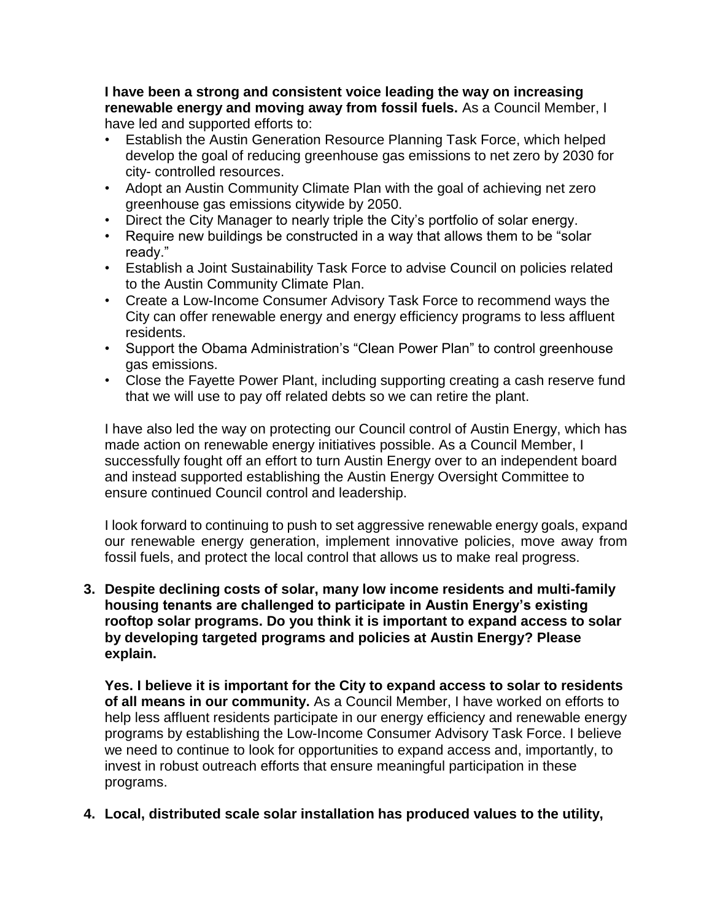**I have been a strong and consistent voice leading the way on increasing renewable energy and moving away from fossil fuels.** As a Council Member, I have led and supported efforts to:

- Establish the Austin Generation Resource Planning Task Force, which helped develop the goal of reducing greenhouse gas emissions to net zero by 2030 for city- controlled resources.
- Adopt an Austin Community Climate Plan with the goal of achieving net zero greenhouse gas emissions citywide by 2050.
- Direct the City Manager to nearly triple the City's portfolio of solar energy.
- Require new buildings be constructed in a way that allows them to be "solar" ready."
- Establish a Joint Sustainability Task Force to advise Council on policies related to the Austin Community Climate Plan.
- Create a Low-Income Consumer Advisory Task Force to recommend ways the City can offer renewable energy and energy efficiency programs to less affluent residents.
- Support the Obama Administration's "Clean Power Plan" to control greenhouse gas emissions.
- Close the Fayette Power Plant, including supporting creating a cash reserve fund that we will use to pay off related debts so we can retire the plant.

I have also led the way on protecting our Council control of Austin Energy, which has made action on renewable energy initiatives possible. As a Council Member, I successfully fought off an effort to turn Austin Energy over to an independent board and instead supported establishing the Austin Energy Oversight Committee to ensure continued Council control and leadership.

I look forward to continuing to push to set aggressive renewable energy goals, expand our renewable energy generation, implement innovative policies, move away from fossil fuels, and protect the local control that allows us to make real progress.

**3. Despite declining costs of solar, many low income residents and multi-family housing tenants are challenged to participate in Austin Energy's existing rooftop solar programs. Do you think it is important to expand access to solar by developing targeted programs and policies at Austin Energy? Please explain.**

**Yes. I believe it is important for the City to expand access to solar to residents of all means in our community.** As a Council Member, I have worked on efforts to help less affluent residents participate in our energy efficiency and renewable energy programs by establishing the Low-Income Consumer Advisory Task Force. I believe we need to continue to look for opportunities to expand access and, importantly, to invest in robust outreach efforts that ensure meaningful participation in these programs.

# **4. Local, distributed scale solar installation has produced values to the utility,**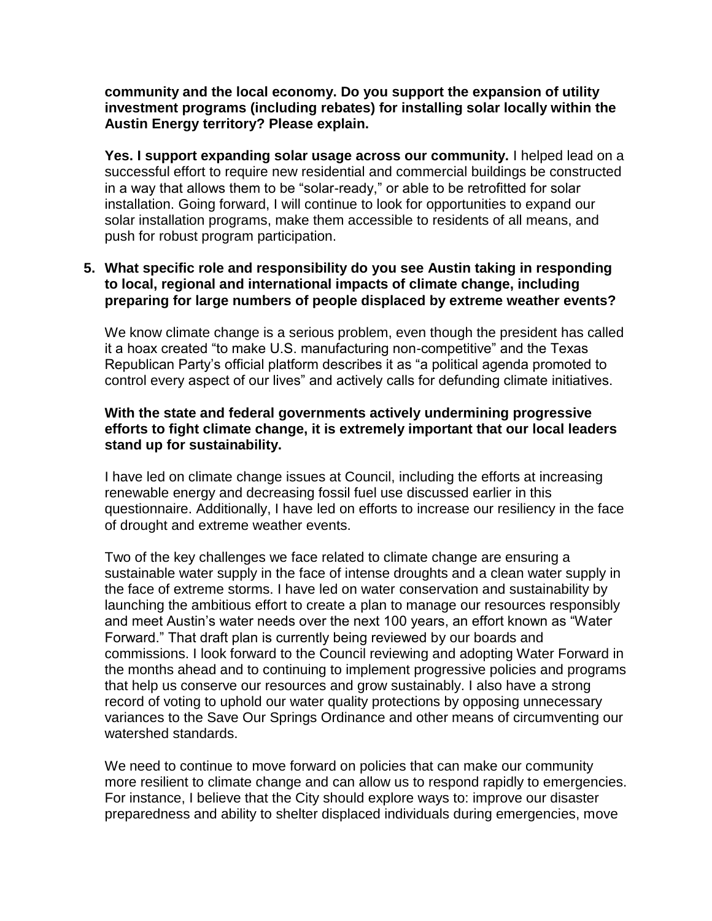**community and the local economy. Do you support the expansion of utility investment programs (including rebates) for installing solar locally within the Austin Energy territory? Please explain.**

**Yes. I support expanding solar usage across our community.** I helped lead on a successful effort to require new residential and commercial buildings be constructed in a way that allows them to be "solar-ready," or able to be retrofitted for solar installation. Going forward, I will continue to look for opportunities to expand our solar installation programs, make them accessible to residents of all means, and push for robust program participation.

## **5. What specific role and responsibility do you see Austin taking in responding to local, regional and international impacts of climate change, including preparing for large numbers of people displaced by extreme weather events?**

We know climate change is a serious problem, even though the president has called it a hoax created "to make U.S. manufacturing non-competitive" and the Texas Republican Party's official platform describes it as "a political agenda promoted to control every aspect of our lives" and actively calls for defunding climate initiatives.

## **With the state and federal governments actively undermining progressive efforts to fight climate change, it is extremely important that our local leaders stand up for sustainability.**

I have led on climate change issues at Council, including the efforts at increasing renewable energy and decreasing fossil fuel use discussed earlier in this questionnaire. Additionally, I have led on efforts to increase our resiliency in the face of drought and extreme weather events.

Two of the key challenges we face related to climate change are ensuring a sustainable water supply in the face of intense droughts and a clean water supply in the face of extreme storms. I have led on water conservation and sustainability by launching the ambitious effort to create a plan to manage our resources responsibly and meet Austin's water needs over the next 100 years, an effort known as "Water Forward." That draft plan is currently being reviewed by our boards and commissions. I look forward to the Council reviewing and adopting Water Forward in the months ahead and to continuing to implement progressive policies and programs that help us conserve our resources and grow sustainably. I also have a strong record of voting to uphold our water quality protections by opposing unnecessary variances to the Save Our Springs Ordinance and other means of circumventing our watershed standards.

We need to continue to move forward on policies that can make our community more resilient to climate change and can allow us to respond rapidly to emergencies. For instance, I believe that the City should explore ways to: improve our disaster preparedness and ability to shelter displaced individuals during emergencies, move